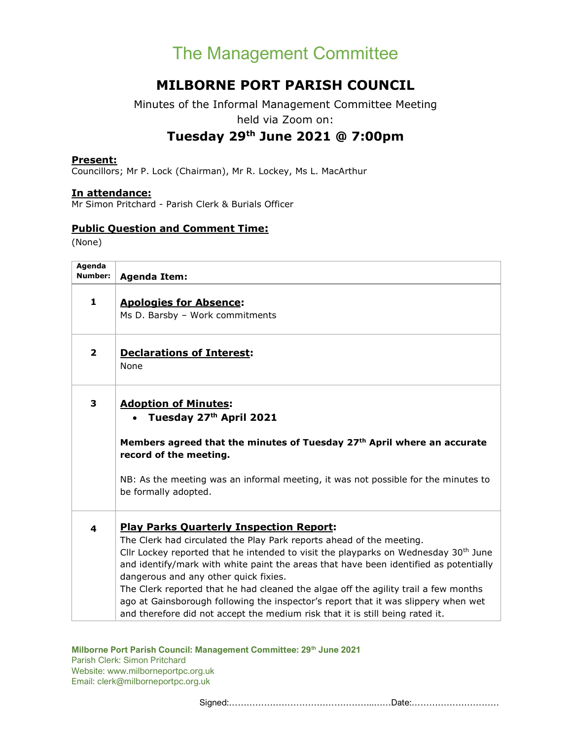## The Management Committee

### MILBORNE PORT PARISH COUNCIL

Minutes of the Informal Management Committee Meeting held via Zoom on:

### Tuesday 29th June 2021 @ 7:00pm

#### Present:

Councillors; Mr P. Lock (Chairman), Mr R. Lockey, Ms L. MacArthur

#### In attendance:

Mr Simon Pritchard - Parish Clerk & Burials Officer

#### Public Question and Comment Time:

(None)

| Agenda<br>Number: | <b>Agenda Item:</b>                                                                                                                                                                                                                                                                                                                                                                                                                                                                                                                                                                                             |
|-------------------|-----------------------------------------------------------------------------------------------------------------------------------------------------------------------------------------------------------------------------------------------------------------------------------------------------------------------------------------------------------------------------------------------------------------------------------------------------------------------------------------------------------------------------------------------------------------------------------------------------------------|
| $\mathbf{1}$      | <b>Apologies for Absence:</b><br>Ms D. Barsby - Work commitments                                                                                                                                                                                                                                                                                                                                                                                                                                                                                                                                                |
| $\mathbf{2}$      | <b>Declarations of Interest:</b><br>None                                                                                                                                                                                                                                                                                                                                                                                                                                                                                                                                                                        |
| 3                 | <b>Adoption of Minutes:</b><br>Tuesday 27th April 2021                                                                                                                                                                                                                                                                                                                                                                                                                                                                                                                                                          |
|                   | Members agreed that the minutes of Tuesday 27th April where an accurate<br>record of the meeting.                                                                                                                                                                                                                                                                                                                                                                                                                                                                                                               |
|                   | NB: As the meeting was an informal meeting, it was not possible for the minutes to<br>be formally adopted.                                                                                                                                                                                                                                                                                                                                                                                                                                                                                                      |
| 4                 | <b>Play Parks Quarterly Inspection Report:</b><br>The Clerk had circulated the Play Park reports ahead of the meeting.<br>Cllr Lockey reported that he intended to visit the playparks on Wednesday $30th$ June<br>and identify/mark with white paint the areas that have been identified as potentially<br>dangerous and any other quick fixies.<br>The Clerk reported that he had cleaned the algae off the agility trail a few months<br>ago at Gainsborough following the inspector's report that it was slippery when wet<br>and therefore did not accept the medium risk that it is still being rated it. |

#### Milborne Port Parish Council: Management Committee: 29<sup>th</sup> June 2021

Parish Clerk: Simon Pritchard Website: www.milborneportpc.org.uk Email: clerk@milborneportpc.org.uk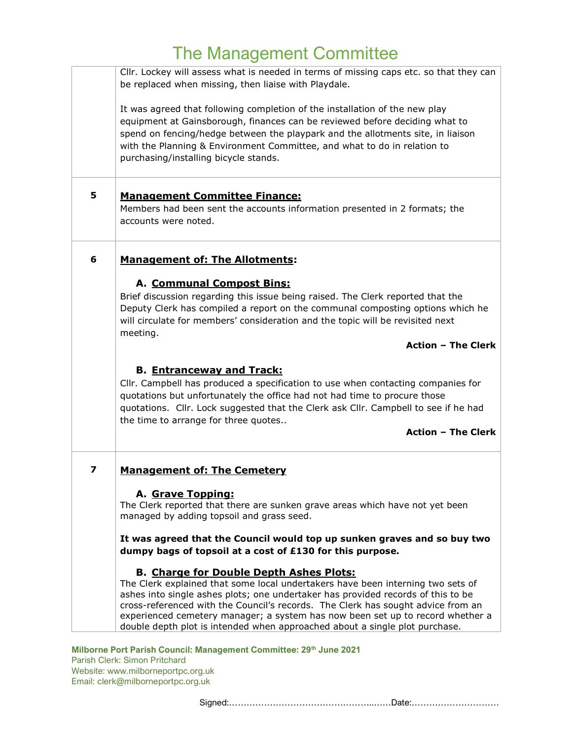## The Management Committee

|   | Cllr. Lockey will assess what is needed in terms of missing caps etc. so that they can<br>be replaced when missing, then liaise with Playdale.                                                                                                                                                                                                                                                                                                                             |
|---|----------------------------------------------------------------------------------------------------------------------------------------------------------------------------------------------------------------------------------------------------------------------------------------------------------------------------------------------------------------------------------------------------------------------------------------------------------------------------|
|   | It was agreed that following completion of the installation of the new play<br>equipment at Gainsborough, finances can be reviewed before deciding what to<br>spend on fencing/hedge between the playpark and the allotments site, in liaison<br>with the Planning & Environment Committee, and what to do in relation to<br>purchasing/installing bicycle stands.                                                                                                         |
| 5 | <b>Management Committee Finance:</b>                                                                                                                                                                                                                                                                                                                                                                                                                                       |
|   | Members had been sent the accounts information presented in 2 formats; the<br>accounts were noted.                                                                                                                                                                                                                                                                                                                                                                         |
| 6 | <b>Management of: The Allotments:</b>                                                                                                                                                                                                                                                                                                                                                                                                                                      |
|   | A. Communal Compost Bins:                                                                                                                                                                                                                                                                                                                                                                                                                                                  |
|   | Brief discussion regarding this issue being raised. The Clerk reported that the<br>Deputy Clerk has compiled a report on the communal composting options which he<br>will circulate for members' consideration and the topic will be revisited next<br>meeting.                                                                                                                                                                                                            |
|   | <b>Action - The Clerk</b>                                                                                                                                                                                                                                                                                                                                                                                                                                                  |
|   | <b>B. Entranceway and Track:</b><br>Cllr. Campbell has produced a specification to use when contacting companies for<br>quotations but unfortunately the office had not had time to procure those<br>quotations. Cllr. Lock suggested that the Clerk ask Cllr. Campbell to see if he had<br>the time to arrange for three quotes                                                                                                                                           |
|   | <b>Action - The Clerk</b>                                                                                                                                                                                                                                                                                                                                                                                                                                                  |
| 7 | <b>Management of: The Cemetery</b>                                                                                                                                                                                                                                                                                                                                                                                                                                         |
|   | A. Grave Topping:<br>The Clerk reported that there are sunken grave areas which have not yet been<br>managed by adding topsoil and grass seed.                                                                                                                                                                                                                                                                                                                             |
|   | It was agreed that the Council would top up sunken graves and so buy two<br>dumpy bags of topsoil at a cost of £130 for this purpose.                                                                                                                                                                                                                                                                                                                                      |
|   | <b>B. Charge for Double Depth Ashes Plots:</b><br>The Clerk explained that some local undertakers have been interning two sets of<br>ashes into single ashes plots; one undertaker has provided records of this to be<br>cross-referenced with the Council's records. The Clerk has sought advice from an<br>experienced cemetery manager; a system has now been set up to record whether a<br>double depth plot is intended when approached about a single plot purchase. |

#### Milborne Port Parish Council: Management Committee: 29th June 2021

Parish Clerk: Simon Pritchard Website: www.milborneportpc.org.uk Email: clerk@milborneportpc.org.uk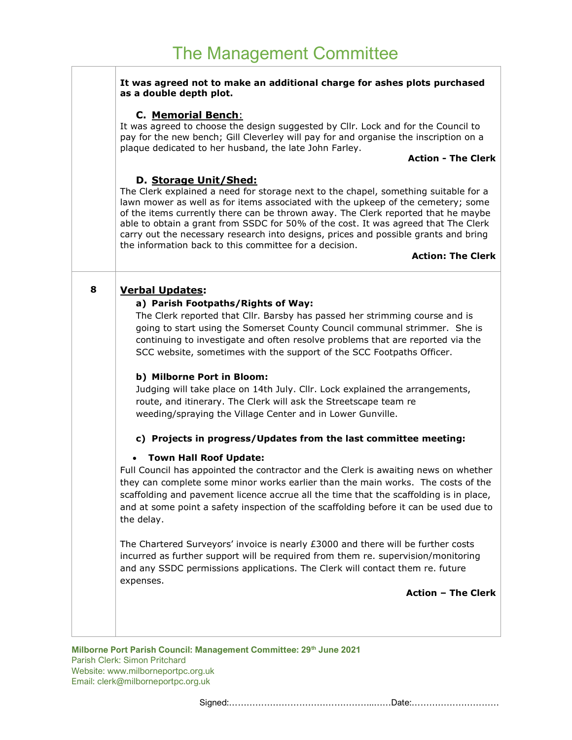п

|   | It was agreed not to make an additional charge for ashes plots purchased<br>as a double depth plot.                                                                                                                                                                                                                                                                                                                                                                                                                                                      |
|---|----------------------------------------------------------------------------------------------------------------------------------------------------------------------------------------------------------------------------------------------------------------------------------------------------------------------------------------------------------------------------------------------------------------------------------------------------------------------------------------------------------------------------------------------------------|
|   | <b>C. Memorial Bench:</b><br>It was agreed to choose the design suggested by Cllr. Lock and for the Council to<br>pay for the new bench; Gill Cleverley will pay for and organise the inscription on a<br>plaque dedicated to her husband, the late John Farley.                                                                                                                                                                                                                                                                                         |
|   | <b>Action - The Clerk</b>                                                                                                                                                                                                                                                                                                                                                                                                                                                                                                                                |
|   | D. Storage Unit/Shed:<br>The Clerk explained a need for storage next to the chapel, something suitable for a<br>lawn mower as well as for items associated with the upkeep of the cemetery; some<br>of the items currently there can be thrown away. The Clerk reported that he maybe<br>able to obtain a grant from SSDC for 50% of the cost. It was agreed that The Clerk<br>carry out the necessary research into designs, prices and possible grants and bring<br>the information back to this committee for a decision.<br><b>Action: The Clerk</b> |
| 8 | <b>Verbal Updates:</b><br>a) Parish Footpaths/Rights of Way:<br>The Clerk reported that Cllr. Barsby has passed her strimming course and is<br>going to start using the Somerset County Council communal strimmer. She is                                                                                                                                                                                                                                                                                                                                |
|   | continuing to investigate and often resolve problems that are reported via the<br>SCC website, sometimes with the support of the SCC Footpaths Officer.                                                                                                                                                                                                                                                                                                                                                                                                  |
|   | b) Milborne Port in Bloom:<br>Judging will take place on 14th July. Cllr. Lock explained the arrangements,<br>route, and itinerary. The Clerk will ask the Streetscape team re<br>weeding/spraying the Village Center and in Lower Gunville.                                                                                                                                                                                                                                                                                                             |
|   | c) Projects in progress/Updates from the last committee meeting:                                                                                                                                                                                                                                                                                                                                                                                                                                                                                         |
|   | <b>Town Hall Roof Update:</b><br>$\bullet$<br>Full Council has appointed the contractor and the Clerk is awaiting news on whether<br>they can complete some minor works earlier than the main works. The costs of the<br>scaffolding and pavement licence accrue all the time that the scaffolding is in place,<br>and at some point a safety inspection of the scaffolding before it can be used due to<br>the delay.                                                                                                                                   |
|   | The Chartered Surveyors' invoice is nearly £3000 and there will be further costs<br>incurred as further support will be required from them re. supervision/monitoring<br>and any SSDC permissions applications. The Clerk will contact them re. future<br>expenses.                                                                                                                                                                                                                                                                                      |
|   | <b>Action - The Clerk</b>                                                                                                                                                                                                                                                                                                                                                                                                                                                                                                                                |
|   |                                                                                                                                                                                                                                                                                                                                                                                                                                                                                                                                                          |
|   |                                                                                                                                                                                                                                                                                                                                                                                                                                                                                                                                                          |

Milborne Port Parish Council: Management Committee: 29<sup>th</sup> June 2021 Parish Clerk: Simon Pritchard Website: www.milborneportpc.org.uk Email: clerk@milborneportpc.org.uk